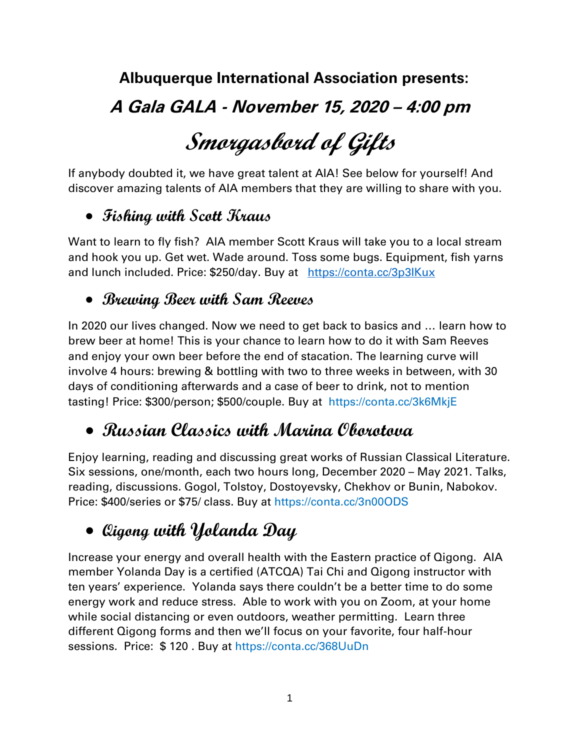**Albuquerque International Association presents:**

# **A Gala GALA - November 15, 2020 – 4:00 pm**

# **Smorgasbord of Gifts**

If anybody doubted it, we have great talent at AIA! See below for yourself! And discover amazing talents of AIA members that they are willing to share with you.

## • **Fishing with Scott Kraus**

Want to learn to fly fish? AIA member Scott Kraus will take you to a local stream and hook you up. Get wet. Wade around. Toss some bugs. Equipment, fish yarns and lunch included. Price: \$250/day. Buy at https://conta.cc/3p3IKux

#### • **Brewing Beer with Sam Reeves**

In 2020 our lives changed. Now we need to get back to basics and … learn how to brew beer at home! This is your chance to learn how to do it with Sam Reeves and enjoy your own beer before the end of stacation. The learning curve will involve 4 hours: brewing & bottling with two to three weeks in between, with 30 days of conditioning afterwards and a case of beer to drink, not to mention tasting! Price: \$300/person; \$500/couple. Buy at https://conta.cc/3k6MkjE

# • **Russian Classics with Marina Oborotova**

Enjoy learning, reading and discussing great works of Russian Classical Literature. Six sessions, one/month, each two hours long, December 2020 – May 2021. Talks, reading, discussions. Gogol, Tolstoy, Dostoyevsky, Chekhov or Bunin, Nabokov. Price: \$400/series or \$75/ class. Buy at https://conta.cc/3n00ODS

# • **Qigong with Yolanda Day**

Increase your energy and overall health with the Eastern practice of Qigong. AIA member Yolanda Day is a certified (ATCQA) Tai Chi and Qigong instructor with ten years' experience. Yolanda says there couldn't be a better time to do some energy work and reduce stress. Able to work with you on Zoom, at your home while social distancing or even outdoors, weather permitting. Learn three different Qigong forms and then we'll focus on your favorite, four half-hour sessions. Price: \$ 120 . Buy at https://conta.cc/368UuDn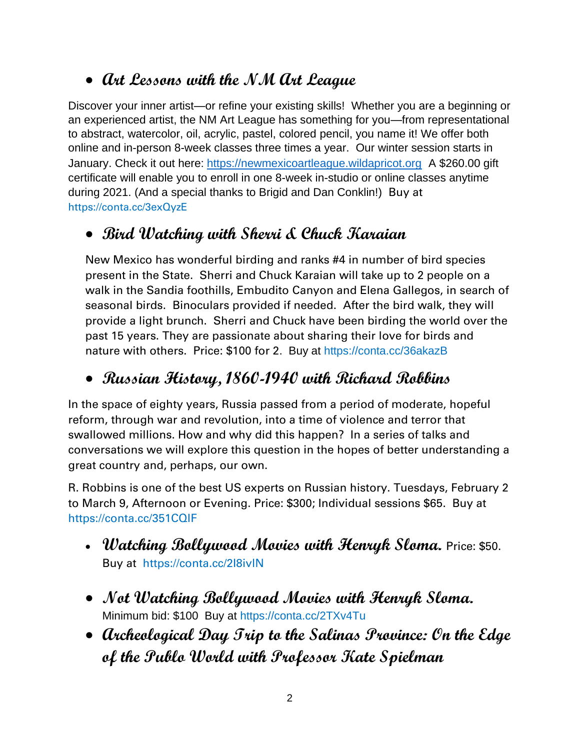#### • **Art Lessons with the NM Art League**

Discover your inner artist—or refine your existing skills! Whether you are a beginning or an experienced artist, the NM Art League has something for you—from representational to abstract, watercolor, oil, acrylic, pastel, colored pencil, you name it! We offer both online and in-person 8-week classes three times a year. Our winter session starts in January. Check it out here: [https://newmexicoartleague.wildapricot.org](https://newmexicoartleague.wildapricot.org/) A \$260.00 gift certificate will enable you to enroll in one 8-week in-studio or online classes anytime during 2021. (And a special thanks to Brigid and Dan Conklin!) Buy at https://conta.cc/3exQyzE

#### • **Bird Watching with Sherri & Chuck Karaian**

New Mexico has wonderful birding and ranks #4 in number of bird species present in the State. Sherri and Chuck Karaian will take up to 2 people on a walk in the Sandia foothills, Embudito Canyon and Elena Gallegos, in search of seasonal birds. Binoculars provided if needed. After the bird walk, they will provide a light brunch. Sherri and Chuck have been birding the world over the past 15 years. They are passionate about sharing their love for birds and nature with others. Price: \$100 for 2. Buy at https://conta.cc/36akazB

#### • **Russian History, 1860-1940 with Richard Robbins**

In the space of eighty years, Russia passed from a period of moderate, hopeful reform, through war and revolution, into a time of violence and terror that swallowed millions. How and why did this happen? In a series of talks and conversations we will explore this question in the hopes of better understanding a great country and, perhaps, our own.

R. Robbins is one of the best US experts on Russian history. Tuesdays, February 2 to March 9, Afternoon or Evening. Price: \$300; Individual sessions \$65. Buy at https://conta.cc/351CQlF

- **Watching Bollywood Movies with Henryk Sloma.** Price: \$50. Buy at https://conta.cc/2I8ivlN
- **Not Watching Bollywood Movies with Henryk Sloma.**  Minimum bid: \$100 Buy at https://conta.cc/2TXv4Tu
- **Archeological Day Trip to the Salinas Province: On the Edge of the Publo World with Professor Kate Spielman**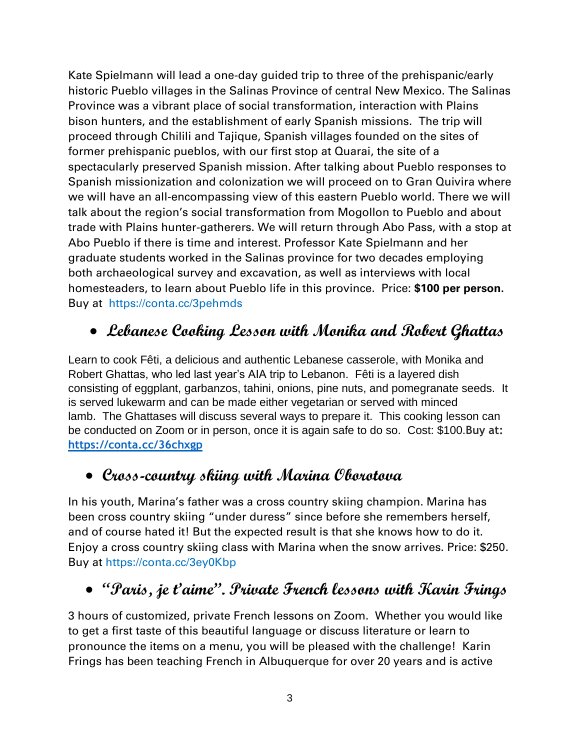Kate Spielmann will lead a one-day guided trip to three of the prehispanic/early historic Pueblo villages in the Salinas Province of central New Mexico. The Salinas Province was a vibrant place of social transformation, interaction with Plains bison hunters, and the establishment of early Spanish missions. The trip will proceed through Chilili and Tajique, Spanish villages founded on the sites of former prehispanic pueblos, with our first stop at Quarai, the site of a spectacularly preserved Spanish mission. After talking about Pueblo responses to Spanish missionization and colonization we will proceed on to Gran Quivira where we will have an all-encompassing view of this eastern Pueblo world. There we will talk about the region's social transformation from Mogollon to Pueblo and about trade with Plains hunter-gatherers. We will return through Abo Pass, with a stop at Abo Pueblo if there is time and interest. Professor Kate Spielmann and her graduate students worked in the Salinas province for two decades employing both archaeological survey and excavation, as well as interviews with local homesteaders, to learn about Pueblo life in this province. Price: **\$100 per person.**  Buy athttps://conta.cc/3pehmds

## • **Lebanese Cooking Lesson with Monika and Robert Ghattas**

Learn to cook Fêti, a delicious and authentic Lebanese casserole, with Monika and Robert Ghattas, who led last year's AIA trip to Lebanon. Fêti is a layered dish consisting of eggplant, garbanzos, tahini, onions, pine nuts, and pomegranate seeds. It is served lukewarm and can be made either vegetarian or served with minced lamb. The Ghattases will discuss several ways to prepare it. This cooking lesson can be conducted on Zoom or in person, once it is again safe to do so. Cost: \$100.**Buy at: <https://conta.cc/36chxgp>**

#### • **Cross-country skiing with Marina Oborotova**

In his youth, Marina's father was a cross country skiing champion. Marina has been cross country skiing "under duress" since before she remembers herself, and of course hated it! But the expected result is that she knows how to do it. Enjoy a cross country skiing class with Marina when the snow arrives. Price: \$250. Buy at https://conta.cc/3ey0Kbp

# • **"Paris, je t'aime". Private French lessons with Karin Frings**

3 hours of customized, private French lessons on Zoom. Whether you would like to get a first taste of this beautiful language or discuss literature or learn to pronounce the items on a menu, you will be pleased with the challenge! Karin Frings has been teaching French in Albuquerque for over 20 years and is active